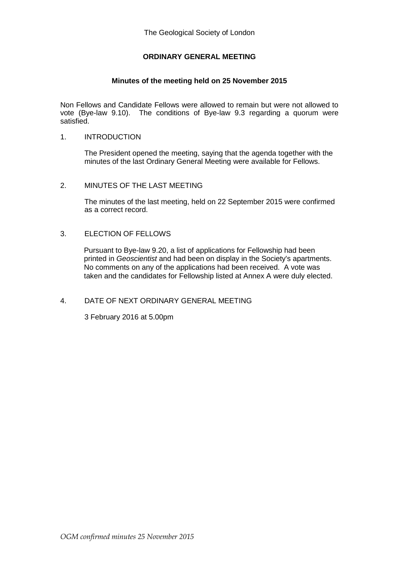# **ORDINARY GENERAL MEETING**

### **Minutes of the meeting held on 25 November 2015**

Non Fellows and Candidate Fellows were allowed to remain but were not allowed to vote (Bye-law 9.10). The conditions of Bye-law 9.3 regarding a quorum were satisfied.

### 1. INTRODUCTION

The President opened the meeting, saying that the agenda together with the minutes of the last Ordinary General Meeting were available for Fellows.

### 2. MINUTES OF THE LAST MEETING

The minutes of the last meeting, held on 22 September 2015 were confirmed as a correct record.

### 3. ELECTION OF FELLOWS

Pursuant to Bye-law 9.20, a list of applications for Fellowship had been printed in *Geoscientist* and had been on display in the Society's apartments. No comments on any of the applications had been received. A vote was taken and the candidates for Fellowship listed at Annex A were duly elected.

## 4. DATE OF NEXT ORDINARY GENERAL MEETING

3 February 2016 at 5.00pm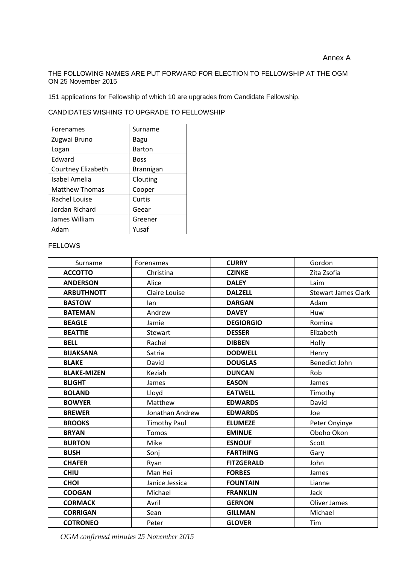THE FOLLOWING NAMES ARE PUT FORWARD FOR ELECTION TO FELLOWSHIP AT THE OGM ON 25 November 2015

151 applications for Fellowship of which 10 are upgrades from Candidate Fellowship.

CANDIDATES WISHING TO UPGRADE TO FELLOWSHIP

| Forenames             | Surname          |
|-----------------------|------------------|
| Zugwai Bruno          | Bagu             |
| Logan                 | <b>Barton</b>    |
| Edward                | <b>Boss</b>      |
| Courtney Elizabeth    | <b>Brannigan</b> |
| Isabel Amelia         | Clouting         |
| <b>Matthew Thomas</b> | Cooper           |
| Rachel Louise         | Curtis           |
| Jordan Richard        | Geear            |
| James William         | Greener          |
| Adam                  | Yusaf            |

#### FELLOWS

| Surname            | Forenames           | <b>CURRY</b>      | Gordon                     |
|--------------------|---------------------|-------------------|----------------------------|
| <b>ACCOTTO</b>     | Christina           | <b>CZINKE</b>     | Zita Zsofia                |
| <b>ANDERSON</b>    | Alice               | <b>DALEY</b>      | Laim                       |
| <b>ARBUTHNOTT</b>  | Claire Louise       | <b>DALZELL</b>    | <b>Stewart James Clark</b> |
| <b>BASTOW</b>      | lan                 | <b>DARGAN</b>     | Adam                       |
| <b>BATEMAN</b>     | Andrew              | <b>DAVEY</b>      | Huw                        |
| <b>BEAGLE</b>      | Jamie               | <b>DEGIORGIO</b>  | Romina                     |
| <b>BEATTIE</b>     | Stewart             | <b>DESSER</b>     | Elizabeth                  |
| <b>BELL</b>        | Rachel              | <b>DIBBEN</b>     | Holly                      |
| <b>BIJAKSANA</b>   | Satria              | <b>DODWELL</b>    | Henry                      |
| <b>BLAKE</b>       | David               | <b>DOUGLAS</b>    | <b>Benedict John</b>       |
| <b>BLAKE-MIZEN</b> | Keziah              | <b>DUNCAN</b>     | Rob                        |
| <b>BLIGHT</b>      | James               | <b>EASON</b>      | James                      |
| <b>BOLAND</b>      | Lloyd               | <b>EATWELL</b>    | Timothy                    |
| <b>BOWYER</b>      | Matthew             | <b>EDWARDS</b>    | David                      |
| <b>BREWER</b>      | Jonathan Andrew     | <b>EDWARDS</b>    | Joe                        |
| <b>BROOKS</b>      | <b>Timothy Paul</b> | <b>ELUMEZE</b>    | Peter Onyinye              |
| <b>BRYAN</b>       | <b>Tomos</b>        | <b>EMINUE</b>     | Oboho Okon                 |
| <b>BURTON</b>      | Mike                | <b>ESNOUF</b>     | Scott                      |
| <b>BUSH</b>        | Sonj                | <b>FARTHING</b>   | Gary                       |
| <b>CHAFER</b>      | Ryan                | <b>FITZGERALD</b> | John                       |
| <b>CHIU</b>        | Man Hei             | <b>FORBES</b>     | James                      |
| <b>CHOI</b>        | Janice Jessica      | <b>FOUNTAIN</b>   | Lianne                     |
| <b>COOGAN</b>      | Michael             | <b>FRANKLIN</b>   | <b>Jack</b>                |
| <b>CORMACK</b>     | Avril               | <b>GERNON</b>     | Oliver James               |
| <b>CORRIGAN</b>    | Sean                | <b>GILLMAN</b>    | Michael                    |
| <b>COTRONEO</b>    | Peter               | <b>GLOVER</b>     | Tim                        |

*OGM confirmed minutes 25 November 2015*